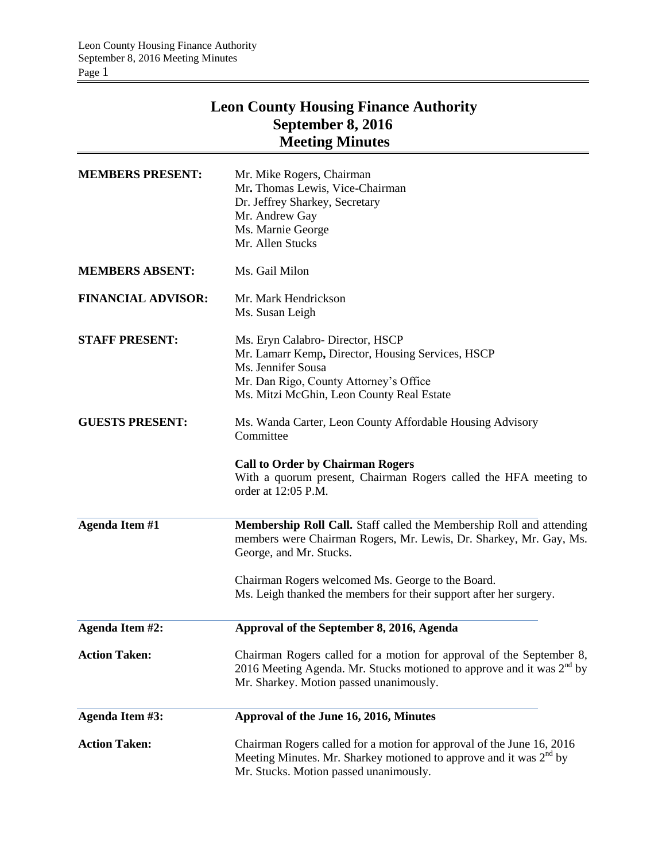## **Leon County Housing Finance Authority September 8, 2016 Meeting Minutes**

| <b>MEMBERS PRESENT:</b>   | Mr. Mike Rogers, Chairman<br>Mr. Thomas Lewis, Vice-Chairman<br>Dr. Jeffrey Sharkey, Secretary<br>Mr. Andrew Gay<br>Ms. Marnie George<br>Mr. Allen Stucks                                         |
|---------------------------|---------------------------------------------------------------------------------------------------------------------------------------------------------------------------------------------------|
| <b>MEMBERS ABSENT:</b>    | Ms. Gail Milon                                                                                                                                                                                    |
| <b>FINANCIAL ADVISOR:</b> | Mr. Mark Hendrickson<br>Ms. Susan Leigh                                                                                                                                                           |
| <b>STAFF PRESENT:</b>     | Ms. Eryn Calabro-Director, HSCP<br>Mr. Lamarr Kemp, Director, Housing Services, HSCP<br>Ms. Jennifer Sousa<br>Mr. Dan Rigo, County Attorney's Office<br>Ms. Mitzi McGhin, Leon County Real Estate |
| <b>GUESTS PRESENT:</b>    | Ms. Wanda Carter, Leon County Affordable Housing Advisory<br>Committee                                                                                                                            |
|                           | <b>Call to Order by Chairman Rogers</b><br>With a quorum present, Chairman Rogers called the HFA meeting to<br>order at 12:05 P.M.                                                                |
| <b>Agenda Item #1</b>     | Membership Roll Call. Staff called the Membership Roll and attending<br>members were Chairman Rogers, Mr. Lewis, Dr. Sharkey, Mr. Gay, Ms.<br>George, and Mr. Stucks.                             |
|                           | Chairman Rogers welcomed Ms. George to the Board.<br>Ms. Leigh thanked the members for their support after her surgery.                                                                           |
| Agenda Item #2:           | Approval of the September 8, 2016, Agenda                                                                                                                                                         |
| <b>Action Taken:</b>      | Chairman Rogers called for a motion for approval of the September 8,<br>2016 Meeting Agenda. Mr. Stucks motioned to approve and it was $2^{nd}$ by<br>Mr. Sharkey. Motion passed unanimously.     |
| Agenda Item #3:           | Approval of the June 16, 2016, Minutes                                                                                                                                                            |
| <b>Action Taken:</b>      | Chairman Rogers called for a motion for approval of the June 16, 2016<br>Meeting Minutes. Mr. Sharkey motioned to approve and it was $2^{nd}$ by<br>Mr. Stucks. Motion passed unanimously.        |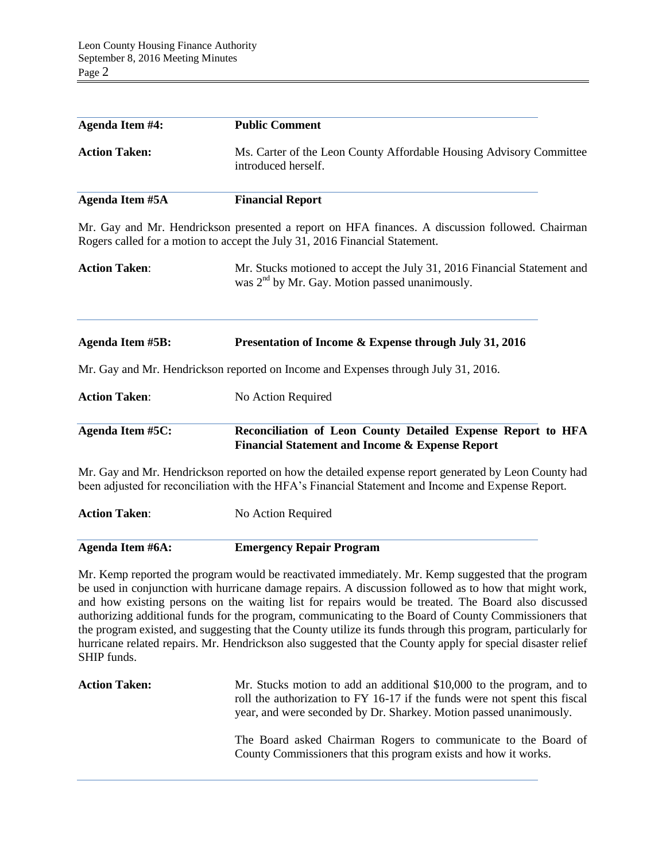| <b>Agenda Item #4:</b>  | <b>Public Comment</b>                                                                                                                                                                                        |  |
|-------------------------|--------------------------------------------------------------------------------------------------------------------------------------------------------------------------------------------------------------|--|
| <b>Action Taken:</b>    | Ms. Carter of the Leon County Affordable Housing Advisory Committee<br>introduced herself.                                                                                                                   |  |
| Agenda Item #5A         | <b>Financial Report</b>                                                                                                                                                                                      |  |
|                         | Mr. Gay and Mr. Hendrickson presented a report on HFA finances. A discussion followed. Chairman<br>Rogers called for a motion to accept the July 31, 2016 Financial Statement.                               |  |
| <b>Action Taken:</b>    | Mr. Stucks motioned to accept the July 31, 2016 Financial Statement and<br>was 2 <sup>nd</sup> by Mr. Gay. Motion passed unanimously.                                                                        |  |
| <b>Agenda Item #5B:</b> | Presentation of Income & Expense through July 31, 2016                                                                                                                                                       |  |
|                         | Mr. Gay and Mr. Hendrickson reported on Income and Expenses through July 31, 2016.                                                                                                                           |  |
| <b>Action Taken:</b>    | No Action Required                                                                                                                                                                                           |  |
| <b>Agenda Item #5C:</b> | Reconciliation of Leon County Detailed Expense Report to HFA<br><b>Financial Statement and Income &amp; Expense Report</b>                                                                                   |  |
|                         | Mr. Gay and Mr. Hendrickson reported on how the detailed expense report generated by Leon County had<br>been adjusted for reconciliation with the HFA's Financial Statement and Income and Expense Report.   |  |
| <b>Action Taken:</b>    | No Action Required                                                                                                                                                                                           |  |
| Agenda Item #6A:        | <b>Emergency Repair Program</b>                                                                                                                                                                              |  |
|                         | Mr. Kemp reported the program would be reactivated immediately. Mr. Kemp suggested that the program<br>be used in conjunction with hurricane damage repairs. A discussion followed as to how that might work |  |

be used in conjunction with hurricane damage repairs. A discussion followed as to how that might work, and how existing persons on the waiting list for repairs would be treated. The Board also discussed authorizing additional funds for the program, communicating to the Board of County Commissioners that the program existed, and suggesting that the County utilize its funds through this program, particularly for hurricane related repairs. Mr. Hendrickson also suggested that the County apply for special disaster relief SHIP funds.

| <b>Action Taken:</b> | Mr. Stucks motion to add an additional \$10,000 to the program, and to<br>roll the authorization to FY 16-17 if the funds were not spent this fiscal<br>year, and were seconded by Dr. Sharkey. Motion passed unanimously. |
|----------------------|----------------------------------------------------------------------------------------------------------------------------------------------------------------------------------------------------------------------------|
|                      | The Board asked Chairman Rogers to communicate to the Board of<br>County Commissioners that this program exists and how it works.                                                                                          |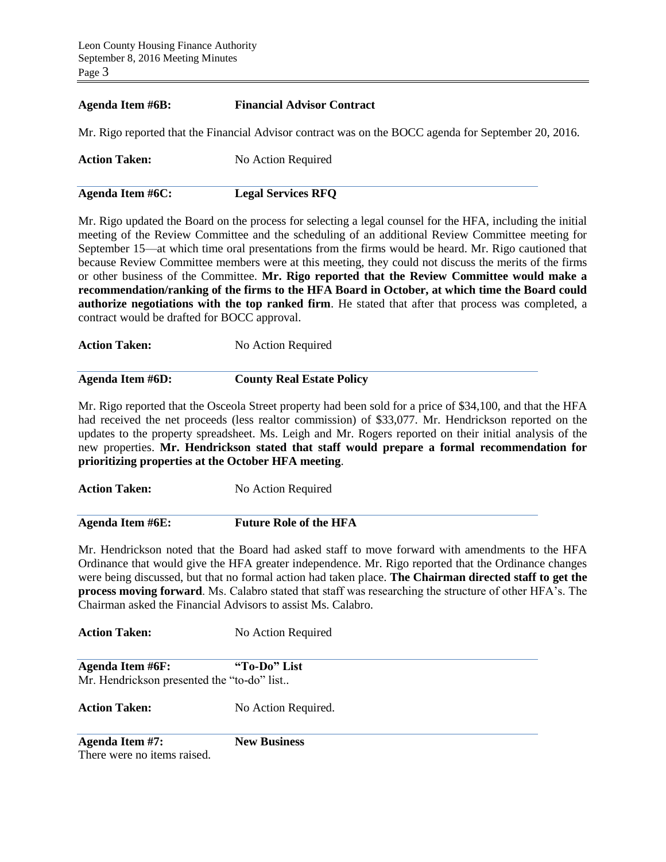## **Agenda Item #6B: Financial Advisor Contract**

Mr. Rigo reported that the Financial Advisor contract was on the BOCC agenda for September 20, 2016.

| <b>Action Taken:</b> | No Action Required |
|----------------------|--------------------|
|                      |                    |

**Agenda Item #6C: Legal Services RFQ**

Mr. Rigo updated the Board on the process for selecting a legal counsel for the HFA, including the initial meeting of the Review Committee and the scheduling of an additional Review Committee meeting for September 15—at which time oral presentations from the firms would be heard. Mr. Rigo cautioned that because Review Committee members were at this meeting, they could not discuss the merits of the firms or other business of the Committee. **Mr. Rigo reported that the Review Committee would make a recommendation/ranking of the firms to the HFA Board in October, at which time the Board could authorize negotiations with the top ranked firm**. He stated that after that process was completed, a contract would be drafted for BOCC approval.

**Action Taken:** No Action Required

**Agenda Item #6D: County Real Estate Policy**

Mr. Rigo reported that the Osceola Street property had been sold for a price of \$34,100, and that the HFA had received the net proceeds (less realtor commission) of \$33,077. Mr. Hendrickson reported on the updates to the property spreadsheet. Ms. Leigh and Mr. Rogers reported on their initial analysis of the new properties. **Mr. Hendrickson stated that staff would prepare a formal recommendation for prioritizing properties at the October HFA meeting**.

Action Taken: No Action Required

**Agenda Item #6E: Future Role of the HFA**

Mr. Hendrickson noted that the Board had asked staff to move forward with amendments to the HFA Ordinance that would give the HFA greater independence. Mr. Rigo reported that the Ordinance changes were being discussed, but that no formal action had taken place. **The Chairman directed staff to get the process moving forward**. Ms. Calabro stated that staff was researching the structure of other HFA's. The Chairman asked the Financial Advisors to assist Ms. Calabro.

**Action Taken:** No Action Required

**Agenda Item #6F: "To-Do" List** Mr. Hendrickson presented the "to-do" list..

Action Taken: No Action Required.

**Agenda Item #7: New Business**

There were no items raised.